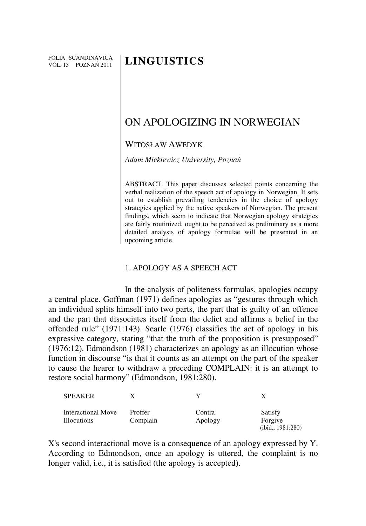FOLIA SCANDINAVICA VOL. 13 POZNAŃ 2011

# **LINGUISTICS**

# ON APOLOGIZING IN NORWEGIAN

# WITOSŁAW AWEDYK

*Adam Mickiewicz University, Pozna*ń

ABSTRACT. This paper discusses selected points concerning the verbal realization of the speech act of apology in Norwegian. It sets out to establish prevailing tendencies in the choice of apology strategies applied by the native speakers of Norwegian. The present findings, which seem to indicate that Norwegian apology strategies are fairly routinized, ought to be perceived as preliminary as a more detailed analysis of apology formulae will be presented in an upcoming article.

#### 1. APOLOGY AS A SPEECH ACT

In the analysis of politeness formulas, apologies occupy a central place. Goffman (1971) defines apologies as "gestures through which an individual splits himself into two parts, the part that is guilty of an offence and the part that dissociates itself from the delict and affirms a belief in the offended rule" (1971:143). Searle (1976) classifies the act of apology in his expressive category, stating "that the truth of the proposition is presupposed" (1976:12). Edmondson (1981) characterizes an apology as an illocution whose function in discourse "is that it counts as an attempt on the part of the speaker to cause the hearer to withdraw a preceding COMPLAIN: it is an attempt to restore social harmony" (Edmondson, 1981:280).

| <b>SPEAKER</b>                           |                     |                   |                                         |
|------------------------------------------|---------------------|-------------------|-----------------------------------------|
| Interactional Move<br><b>Illocutions</b> | Proffer<br>Complain | Contra<br>Apology | Satisfy<br>Forgive<br>(ibid., 1981:280) |

X's second interactional move is a consequence of an apology expressed by Y. According to Edmondson, once an apology is uttered, the complaint is no longer valid, i.e., it is satisfied (the apology is accepted).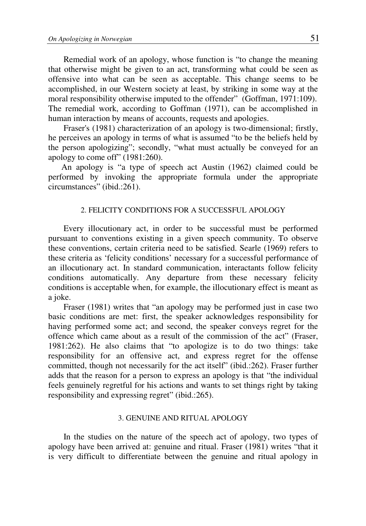Remedial work of an apology, whose function is "to change the meaning that otherwise might be given to an act, transforming what could be seen as offensive into what can be seen as acceptable. This change seems to be accomplished, in our Western society at least, by striking in some way at the moral responsibility otherwise imputed to the offender" (Goffman, 1971:109). The remedial work, according to Goffman (1971), can be accomplished in human interaction by means of accounts, requests and apologies.

Fraser's (1981) characterization of an apology is two-dimensional; firstly, he perceives an apology in terms of what is assumed "to be the beliefs held by the person apologizing"; secondly, "what must actually be conveyed for an apology to come off" (1981:260).

An apology is "a type of speech act Austin (1962) claimed could be performed by invoking the appropriate formula under the appropriate circumstances" (ibid.:261).

### 2. FELICITY CONDITIONS FOR A SUCCESSFUL APOLOGY

Every illocutionary act, in order to be successful must be performed pursuant to conventions existing in a given speech community. To observe these conventions, certain criteria need to be satisfied. Searle (1969) refers to these criteria as 'felicity conditions' necessary for a successful performance of an illocutionary act. In standard communication, interactants follow felicity conditions automatically. Any departure from these necessary felicity conditions is acceptable when, for example, the illocutionary effect is meant as a joke.

Fraser (1981) writes that "an apology may be performed just in case two basic conditions are met: first, the speaker acknowledges responsibility for having performed some act; and second, the speaker conveys regret for the offence which came about as a result of the commission of the act" (Fraser, 1981:262). He also claims that "to apologize is to do two things: take responsibility for an offensive act, and express regret for the offense committed, though not necessarily for the act itself" (ibid.:262). Fraser further adds that the reason for a person to express an apology is that "the individual feels genuinely regretful for his actions and wants to set things right by taking responsibility and expressing regret" (ibid.:265).

#### 3. GENUINE AND RITUAL APOLOGY

In the studies on the nature of the speech act of apology, two types of apology have been arrived at: genuine and ritual. Fraser (1981) writes "that it is very difficult to differentiate between the genuine and ritual apology in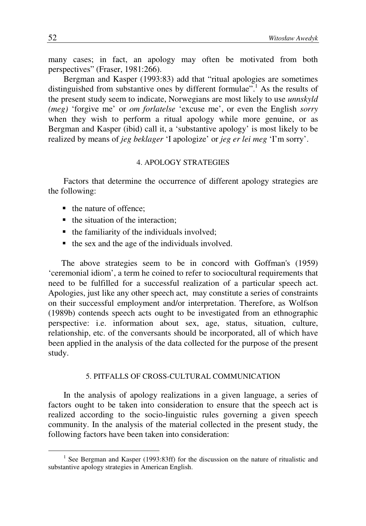many cases; in fact, an apology may often be motivated from both perspectives" (Fraser, 1981:266).

Bergman and Kasper (1993:83) add that "ritual apologies are sometimes distinguished from substantive ones by different formulae".<sup>1</sup> As the results of the present study seem to indicate, Norwegians are most likely to use *unnskyld (meg)* 'forgive me' or *om forlatelse* 'excuse me', or even the English *sorry* when they wish to perform a ritual apology while more genuine, or as Bergman and Kasper (ibid) call it, a 'substantive apology' is most likely to be realized by means of *jeg beklager* 'I apologize' or *jeg er lei meg* 'I'm sorry'.

#### 4. APOLOGY STRATEGIES

Factors that determine the occurrence of different apology strategies are the following:

- the nature of offence:
- $\blacksquare$  the situation of the interaction:
- the familiarity of the individuals involved;
- $\blacksquare$  the sex and the age of the individuals involved.

The above strategies seem to be in concord with Goffman's (1959) 'ceremonial idiom', a term he coined to refer to sociocultural requirements that need to be fulfilled for a successful realization of a particular speech act. Apologies, just like any other speech act, may constitute a series of constraints on their successful employment and/or interpretation. Therefore, as Wolfson (1989b) contends speech acts ought to be investigated from an ethnographic perspective: i.e. information about sex, age, status, situation, culture, relationship, etc. of the conversants should be incorporated, all of which have been applied in the analysis of the data collected for the purpose of the present study.

#### 5. PITFALLS OF CROSS-CULTURAL COMMUNICATION

In the analysis of apology realizations in a given language, a series of factors ought to be taken into consideration to ensure that the speech act is realized according to the socio-linguistic rules governing a given speech community. In the analysis of the material collected in the present study, the following factors have been taken into consideration:

 $\overline{a}$ 

<sup>&</sup>lt;sup>1</sup> See Bergman and Kasper (1993:83ff) for the discussion on the nature of ritualistic and substantive apology strategies in American English.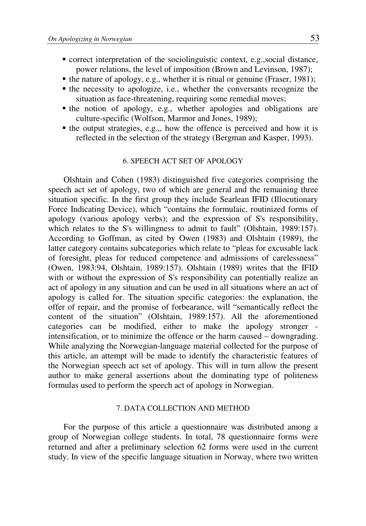- correct interpretation of the sociolinguistic context, e.g.,social distance, power relations, the level of imposition (Brown and Levinson, 1987);
- the nature of apology, e.g., whether it is ritual or genuine (Fraser, 1981);
- the necessity to apologize, i.e., whether the conversants recognize the situation as face-threatening, requiring some remedial moves;
- the notion of apology, e.g., whether apologies and obligations are culture-specific (Wolfson, Marmor and Jones, 1989);
- $\blacksquare$  the output strategies, e.g.,, how the offence is perceived and how it is reflected in the selection of the strategy (Bergman and Kasper, 1993).

#### 6. SPEECH ACT SET OF APOLOGY

Olshtain and Cohen (1983) distinguished five categories comprising the speech act set of apology, two of which are general and the remaining three situation specific. In the first group they include Searlean IFID (Illocutionary Force Indicating Device), which "contains the formulaic, routinized forms of apology (various apology verbs); and the expression of S's responsibility, which relates to the S's willingness to admit to fault" (Olshtain, 1989:157). According to Goffman, as cited by Owen (1983) and Olshtain (1989), the latter category contains subcategories which relate to "pleas for excusable lack of foresight, pleas for reduced competence and admissions of carelessness" (Owen, 1983:94, Olshtain, 1989:157). Olshtain (1989) writes that the IFID with or without the expression of S's responsibility can potentially realize an act of apology in any situation and can be used in all situations where an act of apology is called for. The situation specific categories: the explanation, the offer of repair, and the promise of forbearance, will "semantically reflect the content of the situation" (Olshtain, 1989:157). All the aforementioned categories can be modified, either to make the apology stronger intensification, or to minimize the offence or the harm caused – downgrading. While analyzing the Norwegian-language material collected for the purpose of this article, an attempt will be made to identify the characteristic features of the Norwegian speech act set of apology. This will in turn allow the present author to make general assertions about the dominating type of politeness formulas used to perform the speech act of apology in Norwegian.

#### 7. DATA COLLECTION AND METHOD

For the purpose of this article a questionnaire was distributed among a group of Norwegian college students. In total, 78 questionnaire forms were returned and after a preliminary selection 62 forms were used in the current study. In view of the specific language situation in Norway, where two written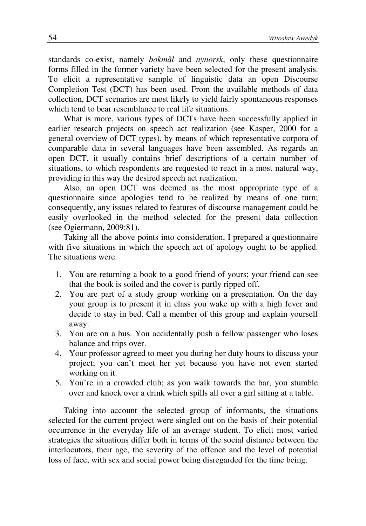standards co-exist, namely *bokmål* and *nynorsk*, only these questionnaire forms filled in the former variety have been selected for the present analysis. To elicit a representative sample of linguistic data an open Discourse Completion Test (DCT) has been used. From the available methods of data collection, DCT scenarios are most likely to yield fairly spontaneous responses which tend to bear resemblance to real life situations.

What is more, various types of DCTs have been successfully applied in earlier research projects on speech act realization (see Kasper, 2000 for a general overview of DCT types), by means of which representative corpora of comparable data in several languages have been assembled. As regards an open DCT, it usually contains brief descriptions of a certain number of situations, to which respondents are requested to react in a most natural way, providing in this way the desired speech act realization.

Also, an open DCT was deemed as the most appropriate type of a questionnaire since apologies tend to be realized by means of one turn; consequently, any issues related to features of discourse management could be easily overlooked in the method selected for the present data collection (see Ogiermann, 2009:81).

Taking all the above points into consideration, I prepared a questionnaire with five situations in which the speech act of apology ought to be applied. The situations were:

- 1. You are returning a book to a good friend of yours; your friend can see that the book is soiled and the cover is partly ripped off.
- 2. You are part of a study group working on a presentation. On the day your group is to present it in class you wake up with a high fever and decide to stay in bed. Call a member of this group and explain yourself away.
- 3. You are on a bus. You accidentally push a fellow passenger who loses balance and trips over.
- 4. Your professor agreed to meet you during her duty hours to discuss your project; you can't meet her yet because you have not even started working on it.
- 5. You're in a crowded club; as you walk towards the bar, you stumble over and knock over a drink which spills all over a girl sitting at a table.

Taking into account the selected group of informants, the situations selected for the current project were singled out on the basis of their potential occurrence in the everyday life of an average student. To elicit most varied strategies the situations differ both in terms of the social distance between the interlocutors, their age, the severity of the offence and the level of potential loss of face, with sex and social power being disregarded for the time being.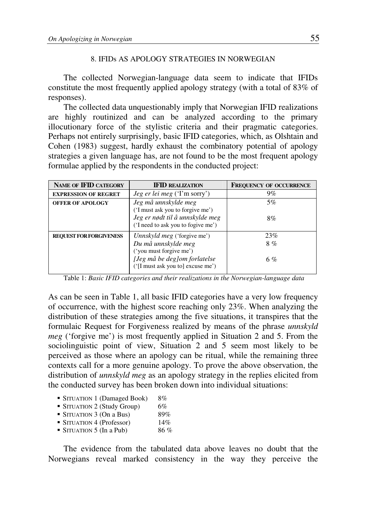# 8. IFIDs AS APOLOGY STRATEGIES IN NORWEGIAN

The collected Norwegian-language data seem to indicate that IFIDs constitute the most frequently applied apology strategy (with a total of 83% of responses).

The collected data unquestionably imply that Norwegian IFID realizations are highly routinized and can be analyzed according to the primary illocutionary force of the stylistic criteria and their pragmatic categories. Perhaps not entirely surprisingly, basic IFID categories, which, as Olshtain and Cohen (1983) suggest, hardly exhaust the combinatory potential of apology strategies a given language has, are not found to be the most frequent apology formulae applied by the respondents in the conducted project:

| <b>NAME OF IFID CATEGORY</b>   | <b>IFID REALIZATION</b>                                                                                                                            | <b>FREQUENCY OF OCCURRENCE</b> |
|--------------------------------|----------------------------------------------------------------------------------------------------------------------------------------------------|--------------------------------|
| <b>EXPRESSION OF REGRET</b>    | <i>Jeg er lei meg</i> ('I'm sorry')                                                                                                                | $9\%$                          |
| <b>OFFER OF APOLOGY</b>        | Jeg må unnskylde meg<br>('I must ask you to forgive me')<br>Jeg er nødt til å unnskylde meg<br>('I need to ask you to fogive me')                  | 5%<br>8%                       |
| <b>REQUEST FOR FORGIVENESS</b> | Unnskyld meg ('forgive me')<br>Du må unnskylde meg<br>('you must forgive me')<br>[Jeg må be deg]om forlatelse<br>('[I must ask you to] excuse me') | 23%<br>8%<br>$6\%$             |

Table 1: *Basic IFID categories and their realizations in the Norwegian-language data*

As can be seen in Table 1, all basic IFID categories have a very low frequency of occurrence, with the highest score reaching only 23%. When analyzing the distribution of these strategies among the five situations, it transpires that the formulaic Request for Forgiveness realized by means of the phrase *unnskyld meg* ('forgive me') is most frequently applied in Situation 2 and 5. From the sociolinguistic point of view, Situation 2 and 5 seem most likely to be perceived as those where an apology can be ritual, while the remaining three contexts call for a more genuine apology. To prove the above observation, the distribution of *unnskyld meg* as an apology strategy in the replies elicited from the conducted survey has been broken down into individual situations:

| • SITUATION 1 (Damaged Book)          | 8%  |
|---------------------------------------|-----|
| • SITUATION 2 (Study Group)           | 6%  |
| $\blacksquare$ SITUATION 3 (On a Bus) | 89% |
| • SITUATION 4 (Professor)             | 14% |
| $\blacksquare$ SITUATION 5 (In a Pub) | 86% |

The evidence from the tabulated data above leaves no doubt that the Norwegians reveal marked consistency in the way they perceive the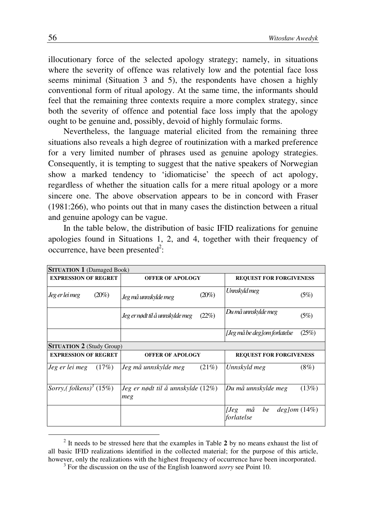illocutionary force of the selected apology strategy; namely, in situations where the severity of offence was relatively low and the potential face loss seems minimal (Situation 3 and 5), the respondents have chosen a highly conventional form of ritual apology. At the same time, the informants should feel that the remaining three contexts require a more complex strategy, since both the severity of offence and potential face loss imply that the apology ought to be genuine and, possibly, devoid of highly formulaic forms.

Nevertheless, the language material elicited from the remaining three situations also reveals a high degree of routinization with a marked preference for a very limited number of phrases used as genuine apology strategies. Consequently, it is tempting to suggest that the native speakers of Norwegian show a marked tendency to 'idiomaticise' the speech of act apology, regardless of whether the situation calls for a mere ritual apology or a more sincere one. The above observation appears to be in concord with Fraser (1981:266), who points out that in many cases the distinction between a ritual and genuine apology can be vague.

In the table below, the distribution of basic IFID realizations for genuine apologies found in Situations 1, 2, and 4, together with their frequency of occurrence, have been presented<sup>2</sup>:

| <b>SITUATION 1</b> (Damaged Book)  |                                          |                                                      |  |
|------------------------------------|------------------------------------------|------------------------------------------------------|--|
| <b>EXPRESSION OF REGRET</b>        | <b>OFFER OF APOLOGY</b>                  | <b>REQUEST FOR FORGIVENESS</b>                       |  |
| $(20\%)$<br>Jeg er lei meg         | $(20\%)$<br>Jeg må unnskylde meg         | Unnskyld meg<br>(5%)                                 |  |
|                                    | (22%)<br>Jeg er nødt til å unnskylde meg | Du må unnskylde meg<br>(5%)                          |  |
|                                    |                                          | [Jeg må be deg]om forlatelse<br>(25%)                |  |
| <b>SITUATION 2</b> (Study Group)   |                                          |                                                      |  |
| <b>EXPRESSION OF REGRET</b>        | <b>OFFER OF APOLOGY</b>                  | <b>REQUEST FOR FORGIVENESS</b>                       |  |
| Jeg er lei meg<br>(17%)            | Jeg må unnskylde meg<br>(21%)            | $(8\%)$<br>Unnskyld meg                              |  |
| Sorry,(folkens) <sup>3</sup> (15%) | Jeg er nødt til å unnskylde (12%)<br>meg | Du må unnskylde meg<br>(13%)                         |  |
|                                    |                                          | må<br>be<br>$deg$ lom $(14%)$<br> Jeg <br>forlatelse |  |

<sup>2</sup> It needs to be stressed here that the examples in Table **2** by no means exhaust the list of all basic IFID realizations identified in the collected material; for the purpose of this article, however, only the realizations with the highest frequency of occurrence have been incorporated. 3 For the discussion on the use of the English loanword *sorry* see Point 10.

 $\overline{a}$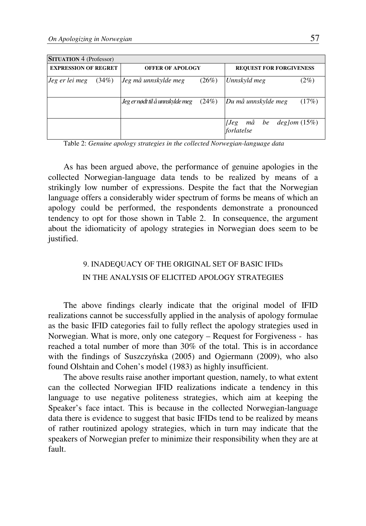| <b>SITUATION 4 (Professor)</b>                         |       |                                            |                                |                                              |
|--------------------------------------------------------|-------|--------------------------------------------|--------------------------------|----------------------------------------------|
| <b>EXPRESSION OF REGRET</b><br><b>OFFER OF APOLOGY</b> |       |                                            | <b>REQUEST FOR FORGIVENESS</b> |                                              |
| Jeg er lei meg                                         | (34%) | Jeg må unnskylde meg                       | (26%)                          | Unnskyld meg<br>$(2\%)$                      |
|                                                        |       | $Jeg$ er nødt til å unnskylde meg $(24\%)$ |                                | Du må unnskylde meg<br>(17%)                 |
|                                                        |       |                                            |                                | [Jeg $m\aa$ be deg]om $(15\%)$<br>forlatelse |

Table 2: *Genuine apology strategies in the collected Norwegian-language data*

As has been argued above, the performance of genuine apologies in the collected Norwegian-language data tends to be realized by means of a strikingly low number of expressions. Despite the fact that the Norwegian language offers a considerably wider spectrum of forms be means of which an apology could be performed, the respondents demonstrate a pronounced tendency to opt for those shown in Table 2. In consequence, the argument about the idiomaticity of apology strategies in Norwegian does seem to be justified.

# 9. INADEQUACY OF THE ORIGINAL SET OF BASIC IFIDs IN THE ANALYSIS OF ELICITED APOLOGY STRATEGIES

The above findings clearly indicate that the original model of IFID realizations cannot be successfully applied in the analysis of apology formulae as the basic IFID categories fail to fully reflect the apology strategies used in Norwegian. What is more, only one category – Request for Forgiveness - has reached a total number of more than 30% of the total. This is in accordance with the findings of Suszczyńska (2005) and Ogiermann (2009), who also found Olshtain and Cohen's model (1983) as highly insufficient.

The above results raise another important question, namely, to what extent can the collected Norwegian IFID realizations indicate a tendency in this language to use negative politeness strategies, which aim at keeping the Speaker's face intact. This is because in the collected Norwegian-language data there is evidence to suggest that basic IFIDs tend to be realized by means of rather routinized apology strategies, which in turn may indicate that the speakers of Norwegian prefer to minimize their responsibility when they are at fault.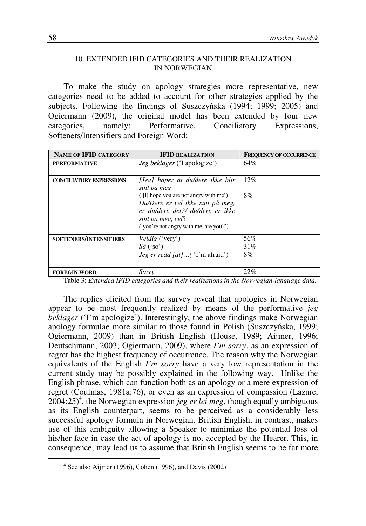# 10. EXTENDED IFID CATEGORIES AND THEIR REALIZATION IN NORWEGIAN

To make the study on apology strategies more representative, new categories need to be added to account for other strategies applied by the subjects. Following the findings of Suszczyńska (1994; 1999; 2005) and Ogiermann (2009), the original model has been extended by four new categories, namely: Performative, Conciliatory Expressions, Softeners/Intensifiers and Foreign Word:

| <b>NAME OF IFID CATEGORY</b>    | <b>IFID REALIZATION</b>                                                                                                                                                         | <b>FREQUENCY OF OCCURRENCE</b> |
|---------------------------------|---------------------------------------------------------------------------------------------------------------------------------------------------------------------------------|--------------------------------|
| <b>PERFORMATIVE</b>             | <i>Jeg beklager</i> ('I apologize')                                                                                                                                             | 64%                            |
|                                 |                                                                                                                                                                                 |                                |
| <b>CONCILIATORY EXPRESSIONS</b> | [Jeg] håper at du/dere ikke blir<br>sint på meg                                                                                                                                 | $12\%$                         |
|                                 | $(\Pi)$ hope you are not angry with me')<br>Du/Dere er vel ikke sint på meg,<br>er du/dere det?/ du/dere er ikke<br>sint på meg, vel?<br>('you're not angry with me, are you?') | 8%                             |
| <b>SOFTENERS/INTENSIFIERS</b>   | <i>Veldig</i> ('very')<br>$S\aa$ ('so')<br><i>Jeg er redd [at]</i> ('I'm afraid')                                                                                               | 56%<br>31%<br>8%               |
| <b>FOREGIN WORD</b>             | Sorry                                                                                                                                                                           | 22%                            |

Table 3: *Extended IFID categories and their realizations in the Norwegian-language data.*

The replies elicited from the survey reveal that apologies in Norwegian appear to be most frequently realized by means of the performative *jeg beklager* ('I'm apologize'). Interestingly, the above findings make Norwegian apology formulae more similar to those found in Polish (Suszczyńska, 1999; Ogiermann, 2009) than in British English (House, 1989; Aijmer, 1996; Deutschmann, 2003; Ogiermann, 2009), where *I'm sorry*, as an expression of regret has the highest frequency of occurrence. The reason why the Norwegian equivalents of the English *I'm sorry* have a very low representation in the current study may be possibly explained in the following way. Unlike the English phrase, which can function both as an apology or a mere expression of regret (Coulmas, 1981a:76), or even as an expression of compassion (Lazare,  $2004:25$ <sup>4</sup>, the Norwegian expression *jeg er lei meg*, though equally ambiguous as its English counterpart, seems to be perceived as a considerably less successful apology formula in Norwegian. British English, in contrast, makes use of this ambiguity allowing a Speaker to minimize the potential loss of his/her face in case the act of apology is not accepted by the Hearer. This, in consequence, may lead us to assume that British English seems to be far more

 $\overline{a}$ 

<sup>4</sup> See also Aijmer (1996), Cohen (1996), and Davis (2002)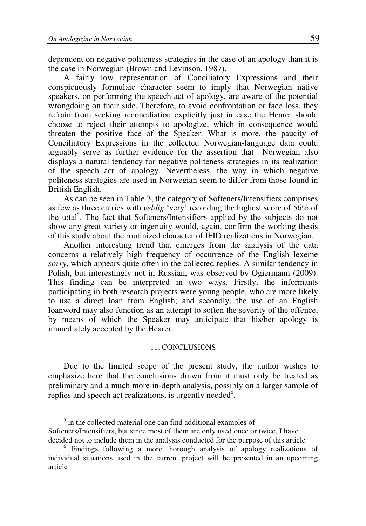$\overline{a}$ 

dependent on negative politeness strategies in the case of an apology than it is the case in Norwegian (Brown and Levinson, 1987).

A fairly low representation of Conciliatory Expressions and their conspicuously formulaic character seem to imply that Norwegian native speakers, on performing the speech act of apology, are aware of the potential wrongdoing on their side. Therefore, to avoid confrontation or face loss, they refrain from seeking reconciliation explicitly just in case the Hearer should choose to reject their attempts to apologize, which in consequence would threaten the positive face of the Speaker. What is more, the paucity of Conciliatory Expressions in the collected Norwegian-language data could arguably serve as further evidence for the assertion that Norwegian also displays a natural tendency for negative politeness strategies in its realization of the speech act of apology. Nevertheless, the way in which negative politeness strategies are used in Norwegian seem to differ from those found in British English.

As can be seen in Table 3, the category of Softeners/Intensifiers comprises as few as three entries with *veldig* 'very' recording the highest score of 56% of the total<sup>5</sup>. The fact that Softeners/Intensifiers applied by the subjects do not show any great variety or ingenuity would, again, confirm the working thesis of this study about the routinized character of IFID realizations in Norwegian.

Another interesting trend that emerges from the analysis of the data concerns a relatively high frequency of occurrence of the English lexeme *sorry*, which appears quite often in the collected replies. A similar tendency in Polish, but interestingly not in Russian, was observed by Ogiermann (2009). This finding can be interpreted in two ways. Firstly, the informants participating in both research projects were young people, who are more likely to use a direct loan from English; and secondly, the use of an English loanword may also function as an attempt to soften the severity of the offence, by means of which the Speaker may anticipate that his/her apology is immediately accepted by the Hearer.

### 11. CONCLUSIONS

Due to the limited scope of the present study, the author wishes to emphasize here that the conclusions drawn from it must only be treated as preliminary and a much more in-depth analysis, possibly on a larger sample of replies and speech act realizations, is urgently needed<sup>6</sup>.

<sup>&</sup>lt;sup>5</sup> in the collected material one can find additional examples of Softeners/Intensifiers, but since most of them are only used once or twice, I have decided not to include them in the analysis conducted for the purpose of this article

<sup>6</sup> Findings following a more thorough analysis of apology realizations of individual situations used in the current project will be presented in an upcoming article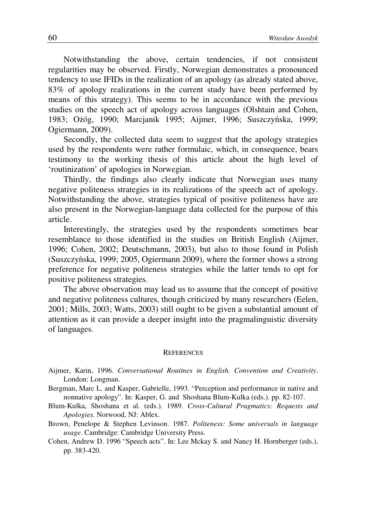Notwithstanding the above, certain tendencies, if not consistent regularities may be observed. Firstly, Norwegian demonstrates a pronounced tendency to use IFIDs in the realization of an apology (as already stated above, 83% of apology realizations in the current study have been performed by means of this strategy). This seems to be in accordance with the previous studies on the speech act of apology across languages (Olshtain and Cohen, 1983; Ożóg, 1990; Marcjanik 1995; Aijmer, 1996; Suszczyńska, 1999; Ogiermann, 2009).

Secondly, the collected data seem to suggest that the apology strategies used by the respondents were rather formulaic, which, in consequence, bears testimony to the working thesis of this article about the high level of 'routinization' of apologies in Norwegian.

Thirdly, the findings also clearly indicate that Norwegian uses many negative politeness strategies in its realizations of the speech act of apology. Notwithstanding the above, strategies typical of positive politeness have are also present in the Norwegian-language data collected for the purpose of this article.

Interestingly, the strategies used by the respondents sometimes bear resemblance to those identified in the studies on British English (Aijmer, 1996; Cohen, 2002; Deutschmann, 2003), but also to those found in Polish (Suszczyńska, 1999; 2005, Ogiermann 2009), where the former shows a strong preference for negative politeness strategies while the latter tends to opt for positive politeness strategies.

The above observation may lead us to assume that the concept of positive and negative politeness cultures, though criticized by many researchers (Eelen, 2001; Mills, 2003; Watts, 2003) still ought to be given a substantial amount of attention as it can provide a deeper insight into the pragmalinguistic diversity of languages.

#### **REFERENCES**

- Aijmer, Karin, 1996. *Conversational Routines in English. Convention and Creativity*. London: Longman.
- Bergman, Marc L. and Kasper, Gabrielle, 1993. "Perception and performance in native and nonnative apology". In: Kasper, G. and Shoshana Blum-Kulka (eds.). pp. 82-107.
- Blum-Kulka, Shoshana et al. (eds.). 1989. *Cross-Cultural Pragmatics: Requests and Apologies*. Norwood, NJ: Ablex.
- Brown, Penelope & Stephen Levinson. 1987. *Politeness: Some universals in language usage*. Cambridge: Cambridge University Press.
- Cohen, Andrew D. 1996 "Speech acts". In: Lee Mckay S. and Nancy H. Hornberger (eds.), pp. 383-420.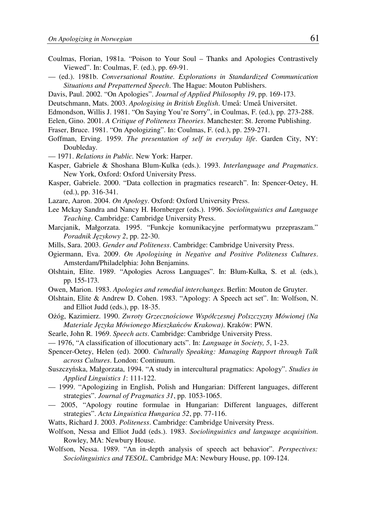- Coulmas, Florian, 1981a. "Poison to Your Soul Thanks and Apologies Contrastively Viewed". In: Coulmas, F. (ed.), pp. 69-91.
- (ed.). 1981b. *Conversational Routine. Explorations in Standardized Communication Situations and Prepatterned Speech*. The Hague: Mouton Publishers.
- Davis, Paul. 2002. "On Apologies". *Journal of Applied Philosophy 19*, pp. 169-173.
- Deutschmann, Mats. 2003. *Apologising in British English*. Umeå: Umeå Universitet.
- Edmondson, Willis J. 1981. "On Saying You're Sorry", in Coulmas, F. (ed.), pp. 273-288.
- Eelen, Gino. 2001. *A Critique of Politeness Theories*. Manchester: St. Jerome Publishing.
- Fraser, Bruce. 1981. "On Apologizing". In: Coulmas, F. (ed.), pp. 259-271.
- Goffman, Erving. 1959. *The presentation of self in everyday life*. Garden City, NY: Doubleday.
- 1971. *Relations in Public.* New York: Harper.
- Kasper, Gabriele & Shoshana Blum-Kulka (eds.). 1993. *Interlanguage and Pragmatics*. New York, Oxford: Oxford University Press.
- Kasper, Gabriele. 2000. "Data collection in pragmatics research". In: Spencer-Oetey, H. (ed.), pp. 316-341.
- Lazare, Aaron. 2004. *On Apology*. Oxford: Oxford University Press.
- Lee Mckay Sandra and Nancy H. Hornberger (eds.). 1996. *Sociolinguistics and Language Teaching*. Cambridge: Cambridge University Press.
- Marcjanik, Małgorzata. 1995. "Funkcje komunikacyjne performatywu przepraszam." *Poradnik J*ę*zykowy 2*, pp. 22-30.
- Mills, Sara. 2003. *Gender and Politeness*. Cambridge: Cambridge University Press.
- Ogiermann, Eva. 2009. *On Apologising in Negative and Positive Politeness Cultures*. Amsterdam/Philadelphia: John Benjamins.
- Olshtain, Elite. 1989. "Apologies Across Languages". In: Blum-Kulka, S. et al. (eds.), pp. 155-173.
- Owen, Marion. 1983. *Apologies and remedial interchanges*. Berlin: Mouton de Gruyter.
- Olshtain, Elite & Andrew D. Cohen. 1983. "Apology: A Speech act set". In: Wolfson, N. and Elliot Judd (eds.), pp. 18-35.
- Ożóg, Kazimierz. 1990. *Zwroty Grzeczno*ś*ciowe Współczesnej Polszczyzny Mówionej (Na Materiale J*ę*zyka Mówionego Mieszka*ń*ców Krakowa)*. Kraków: PWN.
- Searle, John R. 1969. *Speech acts*. Cambridge: Cambridge University Press.
- 1976, "A classification of illocutionary acts". In: *Language in Society, 5*, 1-23.
- Spencer-Oetey, Helen (ed). 2000. *Culturally Speaking: Managing Rapport through Talk across Cultures*. London: Continuum.
- Suszczyńska, Małgorzata, 1994. "A study in intercultural pragmatics: Apology". *Studies in Applied Linguistics 1*: 111-122.
- 1999. "Apologizing in English, Polish and Hungarian: Different languages, different strategies". *Journal of Pragmatics 31*, pp. 1053-1065.
- 2005, "Apology routine formulae in Hungarian: Different languages, different strategies". *Acta Linguistica Hungarica 52*, pp. 77-116.
- Watts, Richard J. 2003. *Politeness*. Cambridge: Cambridge University Press.
- Wolfson, Nessa and Elliot Judd (eds.). 1983. *Sociolinguistics and language acquisition*. Rowley, MA: Newbury House.
- Wolfson, Nessa. 1989. "An in-depth analysis of speech act behavior". *Perspectives: Sociolinguistics and TESOL*. Cambridge MA: Newbury House, pp. 109-124.